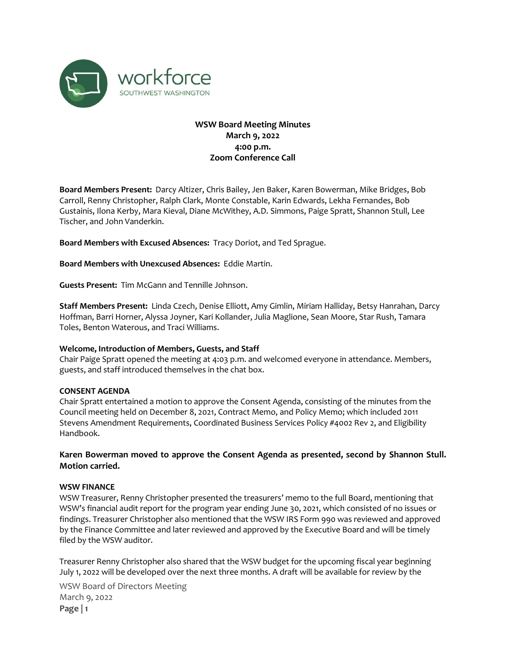

# **WSW Board Meeting Minutes March 9, 2022 4:00 p.m. Zoom Conference Call**

**Board Members Present:** Darcy Altizer, Chris Bailey, Jen Baker, Karen Bowerman, Mike Bridges, Bob Carroll, Renny Christopher, Ralph Clark, Monte Constable, Karin Edwards, Lekha Fernandes, Bob Gustainis, Ilona Kerby, Mara Kieval, Diane McWithey, A.D. Simmons, Paige Spratt, Shannon Stull, Lee Tischer, and John Vanderkin.

**Board Members with Excused Absences:** Tracy Doriot, and Ted Sprague.

**Board Members with Unexcused Absences:** Eddie Martin.

**Guests Present:** Tim McGann and Tennille Johnson.

**Staff Members Present:** Linda Czech, Denise Elliott, Amy Gimlin, Miriam Halliday, Betsy Hanrahan, Darcy Hoffman, Barri Horner, Alyssa Joyner, Kari Kollander, Julia Maglione, Sean Moore, Star Rush, Tamara Toles, Benton Waterous, and Traci Williams.

## **Welcome, Introduction of Members, Guests, and Staff**

Chair Paige Spratt opened the meeting at 4:03 p.m. and welcomed everyone in attendance. Members, guests, and staff introduced themselves in the chat box.

## **CONSENT AGENDA**

Chair Spratt entertained a motion to approve the Consent Agenda, consisting of the minutes from the Council meeting held on December 8, 2021, Contract Memo, and Policy Memo; which included 2011 Stevens Amendment Requirements, Coordinated Business Services Policy #4002 Rev 2, and Eligibility Handbook.

# **Karen Bowerman moved to approve the Consent Agenda as presented, second by Shannon Stull. Motion carried.**

## **WSW FINANCE**

WSW Treasurer, Renny Christopher presented the treasurers' memo to the full Board, mentioning that WSW's financial audit report for the program year ending June 30, 2021, which consisted of no issues or findings. Treasurer Christopher also mentioned that the WSW IRS Form 990 was reviewed and approved by the Finance Committee and later reviewed and approved by the Executive Board and will be timely filed by the WSW auditor.

Treasurer Renny Christopher also shared that the WSW budget for the upcoming fiscal year beginning July 1, 2022 will be developed over the next three months. A draft will be available for review by the

WSW Board of Directors Meeting March 9, 2022 **Page | 1**